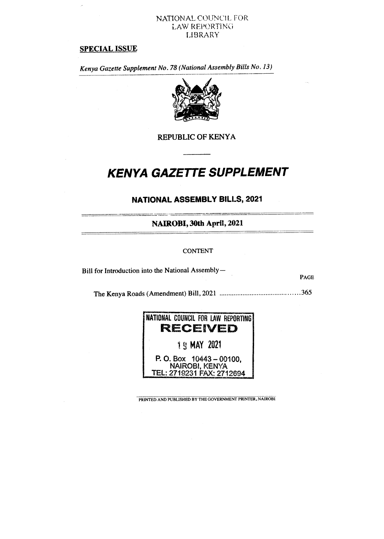# NATIONAL COUNCIL FOR LAW REPORTING LIBRARY

# **SPECIAL ISSUE**

*Kenya Gazette Supplement No. 78 (National Assembly Bills No, 13)* 



# **REPUBLIC OF KENYA**

# **KENYA GAZETTE SUPPLEMENT**

# **NATIONAL ASSEMBLY BILLS, 2021**

**NAIROBI, 30th April, 2021** 

## **CONTENT**

Bill for Introduction into the National Assembly—

**PAGE** 

The Kenya Roads (Amendment) Bill, 2021 365



PRINTED AND PUBLISHED BY THE GOVERNMENT PRINTER. NAIROBI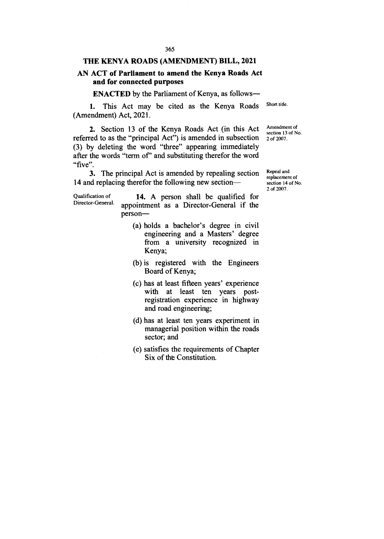#### **THE KENYA ROADS (AMENDMENT) BILL, 2021**

# **AN ACT of Parliament to amend the Kenya Roads Act and for connected purposes**

**ENACTED** by the Parliament of Kenya, as follows-

1. This Act may be cited as the Kenya Roads (Amendment) Act, 2021. Short title.

2. Section 13 of the Kenya Roads Act (in this Act referred to as the "principal Act") is amended in subsection (3) by deleting the word "three" appearing immediately after the words "term of" and substituting therefor the word "five". Amendment of section 13 of No. 2 of 2007.

3. The principal Act is amended by repealing section 14 and replacing therefor the following new section—

Qualification of Director-General.

**14.** A person shall be qualified for appointment as a Director-General if the person—

- (a) holds a bachelor's degree in civil engineering and a Masters' degree from a university recognized in Kenya;
- (b) is registered with the Engineers Board of Kenya;
- (c) has at least fifteen years' experience with at least ten years postregistration experience in highway and road engineering;
- (d) has at least ten years experiment in managerial position within the roads sector; and
- (e) satisfies the requirements of Chapter Six of the Constitution.

Repeal and replacement of section 14 of No. 2 of 2007.

365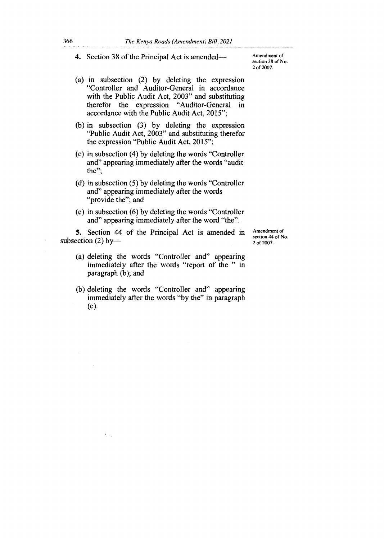**4.** Section 38 of the Principal Act is amended—

Amendment of section 38 of No. 2 of 2007.

- (a) in subsection (2) by deleting the expression "Controller and Auditor-General in accordance with the Public Audit Act, 2003" and substituting therefor the expression "Auditor-General in accordance with the Public Audit Act, 2015";
- (b) in subsection (3) by deleting the expression "Public Audit Act, 2003" and substituting therefor the expression "Public Audit Act, 2015";
- (c) in subsection (4) by deleting the words "Controller and" appearing immediately after the words "audit the";
- (d) in subsection (5) by deleting the words "Controller and" appearing immediately after the words "provide the"; and
- (e) in subsection (6) by deleting the words "Controller and" appearing immediately after the word "the".

**5.** Section 44 of the Principal Act is amended in subsection  $(2)$  byAmendment of section 44 of No. 2 of 2007.

- (a) deleting the words "Controller and" appearing immediately after the words "report of the " in paragraph (b); and
- (b) deleting the words "Controller and" appearing immediately after the words "by the" in paragraph (c).

A.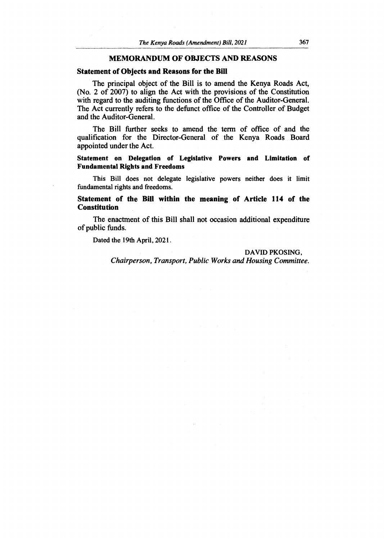# **MEMORANDUM OF OBJECTS AND REASONS**

# **Statement of Objects and Reasons for the Bill**

The principal object of the Bill is to amend the Kenya Roads Act, (No. 2 of 2007) to align the Act with the provisions of the Constitution with regard to the auditing functions of the Office of the Auditor-General. The Act currently refers to the defunct office of the Controller of Budget and the Auditor-General.

The Bill further seeks to amend the term of office of and the qualification for the Director-General of the Kenya Roads Board appointed under the Act.

**Statement on Delegation of Legislative Powers and Limitation of Fundamental Rights and Freedoms** 

This Bill does not delegate legislative powers neither does it limit fundamental rights and freedoms.

# **Statement of the Bill within the meaning of Article 114 of the Constitution**

The enactment of this Bill shall not occasion additional expenditure of public funds.

Dated the 19th April, 2021.

#### DAVID PKOSING,

*Chairperson, Transport, Public Works and Housing Committee.*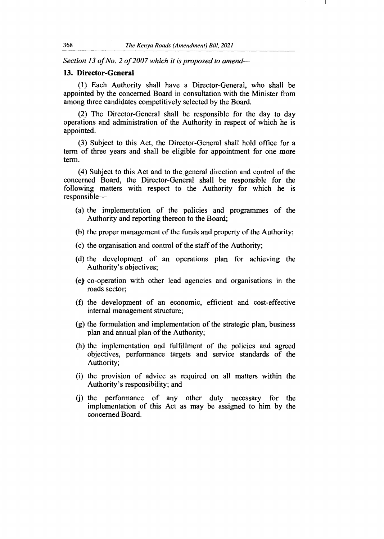*Section 13 of No. 2 of 2007 which it is proposed to amend-*

## **13. Director-General**

(1) Each Authority shall have a Director-General, who shall be appointed by the concerned Board in consultation with the Minister from among three candidates competitively selected by the Board.

(2) The Director-General shall be responsible for the day to day operations and administration of the Authority in respect of which he is appointed.

(3) Subject to this Act, the Director-General shall hold office for a term of three years and shall be eligible for appointment for one more term.

(4) Subject to this Act and to the general direction and control of the concerned Board, the Director-General shall be responsible for the following matters with respect to the Authority for which he is responsible—

- (a) the implementation of the policies and programmes of the Authority and reporting thereon to the Board;
- (b) the proper management of the funds and property of the Authority;
- (c) the organisation and control of the staff of the Authority;
- (d) the development of an operations plan for achieving the Authority's objectives;
- (e) co-operation with other lead agencies and organisations in the roads sector;
- (f) the development of an economic, efficient and cost-effective internal management structure;
- (g) the formulation and implementation of the strategic plan, business plan and annual plan of the Authority;
- (h) the implementation and fulfillment of the policies and agreed objectives, performance targets and service standards of the Authority;
- (i) the provision of advice as required on all matters within the Authority's responsibility; and
- (j) the performance of any other duty necessary for the implementation of this Act as may be assigned to him by the concerned Board.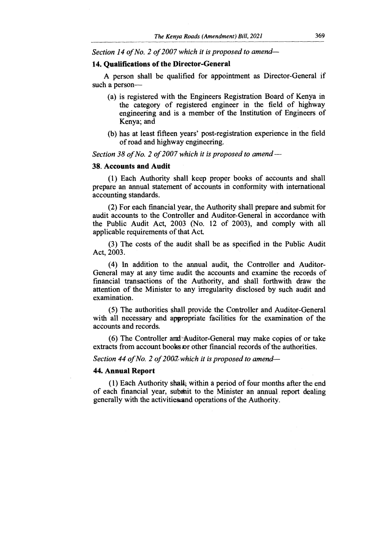*Section 14 of No. 2 of 2007 which it is proposed to amend-*

### **14. Qualifications of the Director-General**

A person shall be qualified for appointment as Director-General if such a person—

- (a) is registered with the Engineers Registration Board of Kenya in the category of registered engineer in the field of highway engineering and is a member of the Institution of Engineers of Kenya; and
- (b) has at least fifteen years' post-registration experience in the field of road and highway engineering.

*Section 38 of No. 2 of 2007 which it is proposed to amend* **—** 

## **38. Accounts and Audit**

(1) Each Authority shall keep proper books of accounts and shall prepare an annual statement of accounts in conformity with international accounting standards.

(2) For each financial year, the Authority shall prepare and submit for audit accounts to the Controller and Auditor-General in accordance with the Public Audit Act, 2003 (No. 12 of 2003), and comply with all applicable requirements of that Act.

(3) The costs of the audit shall be as specified in the Public Audit Act, 2003.

(4) In addition to the annual audit, the Controller and Auditor-General may at any time audit the accounts and examine the records of financial transactions of the Authority, and shall forthwith draw the attention of the Minister to any irregularity disclosed by such audit and examination.

(5) The authorities shall provide the Controller and Auditor-General with all necessary and appropriate facilities for the examination of the accounts and records.

(6) The Controller and -Auditor-General may make copies of or take extracts from account books or other financial records of the authorities.

#### *Section 44 of No. 2 of 2002-which it is proposed to amend-*

#### **44. Annual Report**

(1) Each Authority shalt, within a period of four months after the end of each financial year, submit to the Minister an annual report dealing generally with the activities and operations of the Authority.